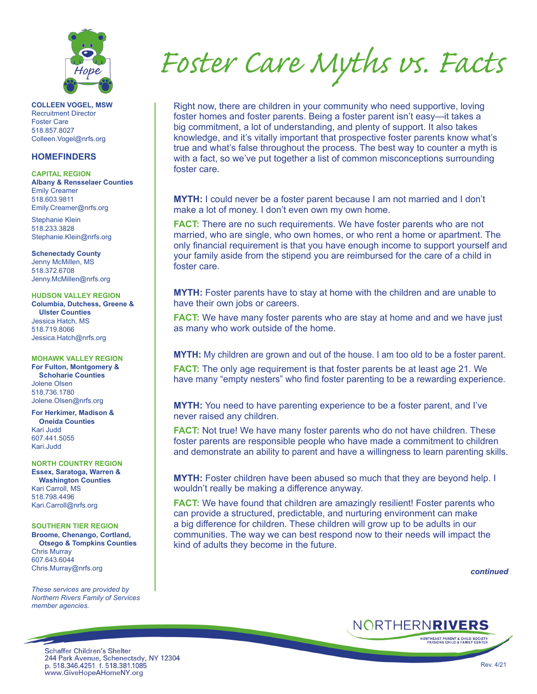

**COLLEEN VOGEL, MSW** Recruitment Director Foster Care 518.857.8027 Colleen.Vogel@nrfs.org

## **HOMEFINDERS**

**CAPITAL REGION Albany & Rensselaer Counties** Emily Creamer 518.603.9811 Emily.Creamer@nrfs.org

Stephanie Klein 518.233.3828 Stephanie.Klein@nrfs.org

**Schenectady County** Jenny McMillen, MS 518.372.6708 Jenny.McMillen@nrfs.org

**HUDSON VALLEY REGION Columbia, Dutchess, Greene & Ulster Counties** Jessica Hatch, MS 518.719.8066 Jessica.Hatch@nrfs.org

**MOHAWK VALLEY REGION For Fulton, Montgomery &** 

**Schoharie Counties** Jolene Olsen 518.736.1780 Jolene.Olsen@nrfs.org

**For Herkimer, Madison & Oneida Counties** Kari Judd 607.441.5055 Kari.Judd

**NORTH COUNTRY REGION Essex, Saratoga, Warren & Washington Counties** Kari Carroll, MS 518.798.4496 Kari.Carroll@nrfs.org

**SOUTHERN TIER REGION Broome, Chenango, Cortland,** 

**Otsego & Tompkins Counties** Chris Murray 607.643.6044 Chris.Murray@nrfs.org

*These services are provided by Northern Rivers Family of Services member agencies.*

*Foster Care Myths vs. Facts*

Right now, there are children in your community who need supportive, loving foster homes and foster parents. Being a foster parent isn't easy—it takes a big commitment, a lot of understanding, and plenty of support. It also takes knowledge, and it's vitally important that prospective foster parents know what's true and what's false throughout the process. The best way to counter a myth is with a fact, so we've put together a list of common misconceptions surrounding foster care.

**MYTH:** I could never be a foster parent because I am not married and I don't make a lot of money. I don't even own my own home.

**FACT:** There are no such requirements. We have foster parents who are not married, who are single, who own homes, or who rent a home or apartment. The only financial requirement is that you have enough income to support yourself and your family aside from the stipend you are reimbursed for the care of a child in foster care.

**MYTH:** Foster parents have to stay at home with the children and are unable to have their own jobs or careers.

**FACT:** We have many foster parents who are stay at home and and we have just as many who work outside of the home.

**MYTH:** My children are grown and out of the house. I am too old to be a foster parent.

**FACT:** The only age requirement is that foster parents be at least age 21. We have many "empty nesters" who find foster parenting to be a rewarding experience.

**MYTH:** You need to have parenting experience to be a foster parent, and I've never raised any children.

**FACT:** Not true! We have many foster parents who do not have children. These foster parents are responsible people who have made a commitment to children and demonstrate an ability to parent and have a willingness to learn parenting skills.

**MYTH:** Foster children have been abused so much that they are beyond help. I wouldn't really be making a difference anyway.

**FACT:** We have found that children are amazingly resilient! Foster parents who can provide a structured, predictable, and nurturing environment can make a big difference for children. These children will grow up to be adults in our communities. The way we can best respond now to their needs will impact the kind of adults they become in the future.

*continued*

NORTHERNRIVERS

**NORTHEAST PARENT & CHILD SOCIETY**<br>PARSONS CHILD & FAMILY CENTER

**Schaffer Children's Shelter** 244 Park Avenue, Schenectady, NY 12304<br>p. 518.346.4251 f. 518.381.1085 www.GiveHopeAHomeNY.org